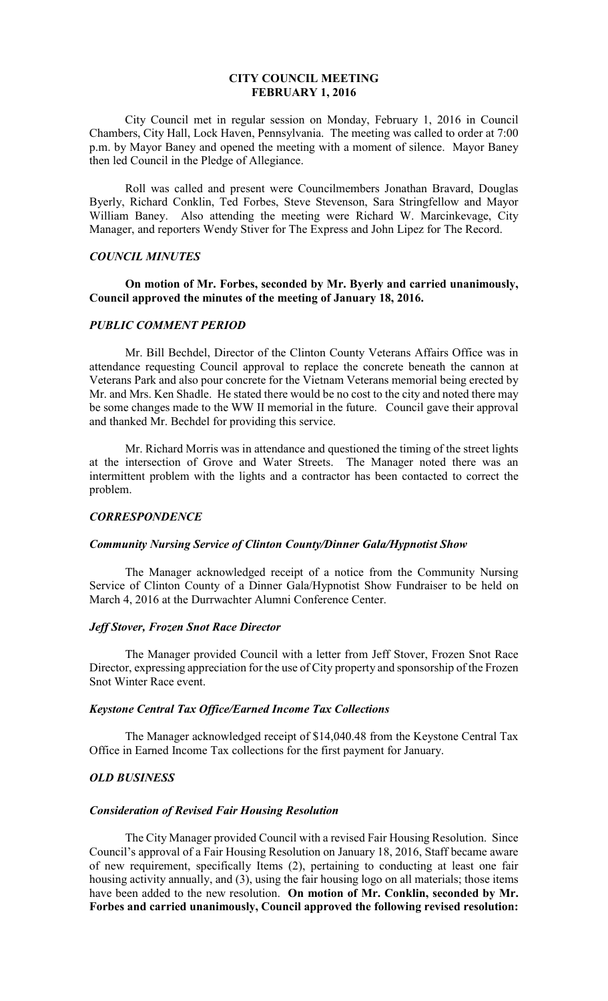# **CITY COUNCIL MEETING FEBRUARY 1, 2016**

 City Council met in regular session on Monday, February 1, 2016 in Council Chambers, City Hall, Lock Haven, Pennsylvania. The meeting was called to order at 7:00 p.m. by Mayor Baney and opened the meeting with a moment of silence. Mayor Baney then led Council in the Pledge of Allegiance.

 Roll was called and present were Councilmembers Jonathan Bravard, Douglas Byerly, Richard Conklin, Ted Forbes, Steve Stevenson, Sara Stringfellow and Mayor William Baney. Also attending the meeting were Richard W. Marcinkevage, City Manager, and reporters Wendy Stiver for The Express and John Lipez for The Record.

### *COUNCIL MINUTES*

# **On motion of Mr. Forbes, seconded by Mr. Byerly and carried unanimously, Council approved the minutes of the meeting of January 18, 2016.**

### *PUBLIC COMMENT PERIOD*

 Mr. Bill Bechdel, Director of the Clinton County Veterans Affairs Office was in attendance requesting Council approval to replace the concrete beneath the cannon at Veterans Park and also pour concrete for the Vietnam Veterans memorial being erected by Mr. and Mrs. Ken Shadle. He stated there would be no cost to the city and noted there may be some changes made to the WW II memorial in the future. Council gave their approval and thanked Mr. Bechdel for providing this service.

 Mr. Richard Morris was in attendance and questioned the timing of the street lights at the intersection of Grove and Water Streets. The Manager noted there was an intermittent problem with the lights and a contractor has been contacted to correct the problem.

### *CORRESPONDENCE*

# *Community Nursing Service of Clinton County/Dinner Gala/Hypnotist Show*

The Manager acknowledged receipt of a notice from the Community Nursing Service of Clinton County of a Dinner Gala/Hypnotist Show Fundraiser to be held on March 4, 2016 at the Durrwachter Alumni Conference Center.

#### *Jeff Stover, Frozen Snot Race Director*

 The Manager provided Council with a letter from Jeff Stover, Frozen Snot Race Director, expressing appreciation for the use of City property and sponsorship of the Frozen Snot Winter Race event.

### *Keystone Central Tax Office/Earned Income Tax Collections*

The Manager acknowledged receipt of \$14,040.48 from the Keystone Central Tax Office in Earned Income Tax collections for the first payment for January.

# *OLD BUSINESS*

#### *Consideration of Revised Fair Housing Resolution*

 The City Manager provided Council with a revised Fair Housing Resolution. Since Council's approval of a Fair Housing Resolution on January 18, 2016, Staff became aware of new requirement, specifically Items (2), pertaining to conducting at least one fair housing activity annually, and (3), using the fair housing logo on all materials; those items have been added to the new resolution. **On motion of Mr. Conklin, seconded by Mr. Forbes and carried unanimously, Council approved the following revised resolution:**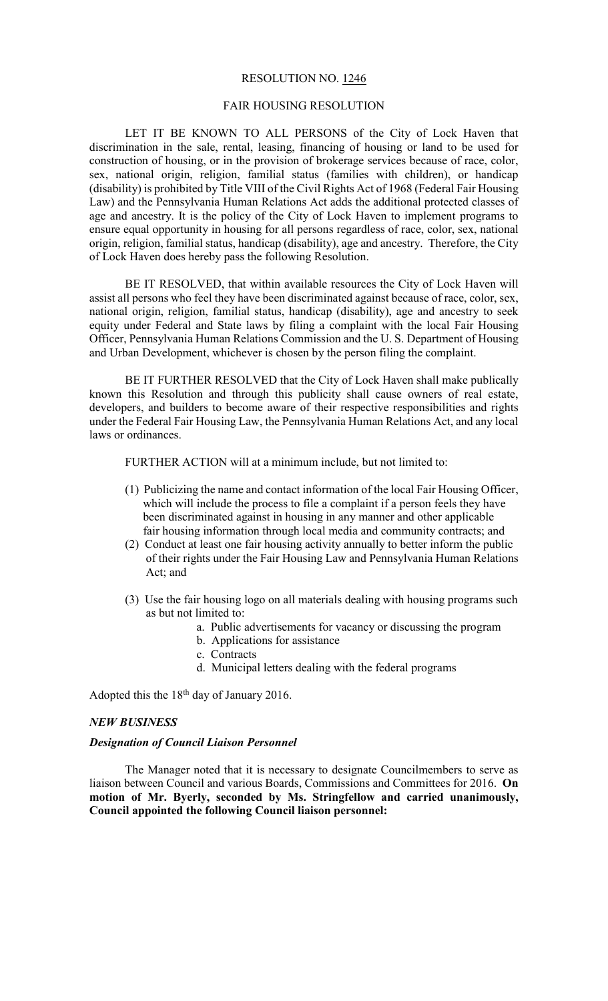#### RESOLUTION NO. 1246

# FAIR HOUSING RESOLUTION

 LET IT BE KNOWN TO ALL PERSONS of the City of Lock Haven that discrimination in the sale, rental, leasing, financing of housing or land to be used for construction of housing, or in the provision of brokerage services because of race, color, sex, national origin, religion, familial status (families with children), or handicap (disability) is prohibited by Title VIII of the Civil Rights Act of 1968 (Federal Fair Housing Law) and the Pennsylvania Human Relations Act adds the additional protected classes of age and ancestry. It is the policy of the City of Lock Haven to implement programs to ensure equal opportunity in housing for all persons regardless of race, color, sex, national origin, religion, familial status, handicap (disability), age and ancestry. Therefore, the City of Lock Haven does hereby pass the following Resolution.

 BE IT RESOLVED, that within available resources the City of Lock Haven will assist all persons who feel they have been discriminated against because of race, color, sex, national origin, religion, familial status, handicap (disability), age and ancestry to seek equity under Federal and State laws by filing a complaint with the local Fair Housing Officer, Pennsylvania Human Relations Commission and the U. S. Department of Housing and Urban Development, whichever is chosen by the person filing the complaint.

 BE IT FURTHER RESOLVED that the City of Lock Haven shall make publically known this Resolution and through this publicity shall cause owners of real estate, developers, and builders to become aware of their respective responsibilities and rights under the Federal Fair Housing Law, the Pennsylvania Human Relations Act, and any local laws or ordinances.

FURTHER ACTION will at a minimum include, but not limited to:

- (1) Publicizing the name and contact information of the local Fair Housing Officer, which will include the process to file a complaint if a person feels they have been discriminated against in housing in any manner and other applicable fair housing information through local media and community contracts; and
- (2) Conduct at least one fair housing activity annually to better inform the public of their rights under the Fair Housing Law and Pennsylvania Human Relations Act; and
- (3) Use the fair housing logo on all materials dealing with housing programs such as but not limited to:
	- a. Public advertisements for vacancy or discussing the program
	- b. Applications for assistance
	- c. Contracts
	- d. Municipal letters dealing with the federal programs

Adopted this the  $18<sup>th</sup>$  day of January 2016.

# *NEW BUSINESS*

#### *Designation of Council Liaison Personnel*

The Manager noted that it is necessary to designate Councilmembers to serve as liaison between Council and various Boards, Commissions and Committees for 2016. **On motion of Mr. Byerly, seconded by Ms. Stringfellow and carried unanimously, Council appointed the following Council liaison personnel:**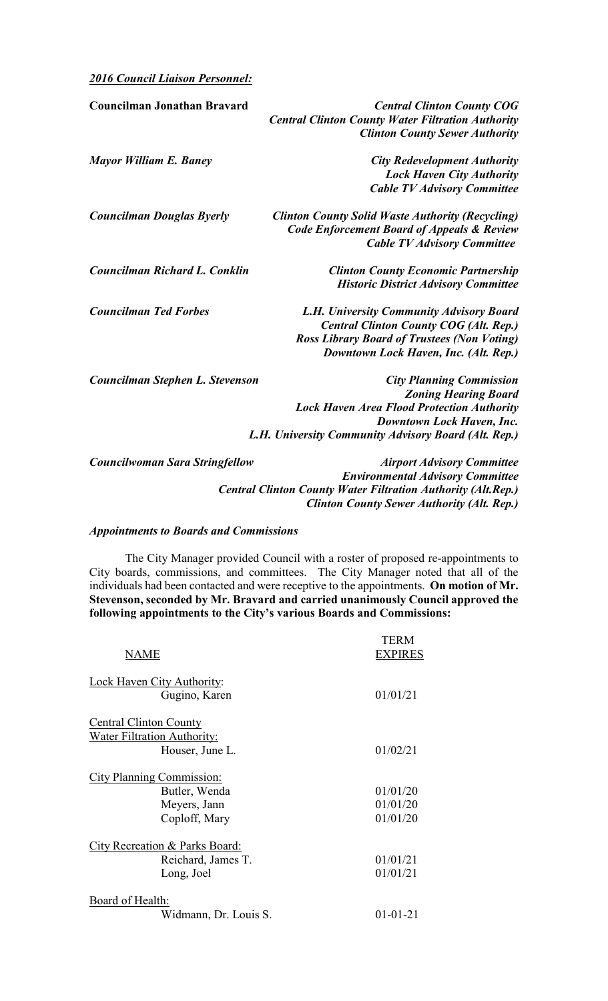*2016 Council Liaison Personnel:* 

| <b>Councilman Jonathan Bravard</b>    | <b>Central Clinton County COG</b><br><b>Central Clinton County Water Filtration Authority</b><br><b>Clinton County Sewer Authority</b> |
|---------------------------------------|----------------------------------------------------------------------------------------------------------------------------------------|
| Mayor William E. Baney                | <b>City Redevelopment Authority</b>                                                                                                    |
|                                       | <b>Lock Haven City Authority</b>                                                                                                       |
|                                       | <b>Cable TV Advisory Committee</b>                                                                                                     |
| <b>Councilman Douglas Byerly</b>      | <b>Clinton County Solid Waste Authority (Recycling)</b>                                                                                |
|                                       | <b>Code Enforcement Board of Appeals &amp; Review</b>                                                                                  |
|                                       | <b>Cable TV Advisory Committee</b>                                                                                                     |
| Councilman Richard L. Conklin         | <b>Clinton County Economic Partnership</b>                                                                                             |
|                                       | <b>Historic District Advisory Committee</b>                                                                                            |
| <b>Councilman Ted Forbes</b>          | L.H. University Community Advisory Board                                                                                               |
|                                       | <b>Central Clinton County COG (Alt. Rep.)</b>                                                                                          |
|                                       | <b>Ross Library Board of Trustees (Non Voting)</b>                                                                                     |
|                                       | Downtown Lock Haven, Inc. (Alt. Rep.)                                                                                                  |
| Councilman Stephen L. Stevenson       | <b>City Planning Commission</b>                                                                                                        |
|                                       | <b>Zoning Hearing Board</b>                                                                                                            |
|                                       | <b>Lock Haven Area Flood Protection Authority</b>                                                                                      |
|                                       | Downtown Lock Haven, Inc.                                                                                                              |
|                                       | L.H. University Community Advisory Board (Alt. Rep.)                                                                                   |
| <b>Councilwoman Sara Stringfellow</b> | <b>Airport Advisory Committee</b>                                                                                                      |
|                                       | <b>Environmental Advisory Committee</b>                                                                                                |
|                                       | Control Clinton County Water Filtration Authority (Alt Don)                                                                            |

 *Central Clinton County Water Filtration Authority (Alt.Rep.) Clinton County Sewer Authority (Alt. Rep.)*

# *Appointments to Boards and Commissions*

 The City Manager provided Council with a roster of proposed re-appointments to City boards, commissions, and committees. The City Manager noted that all of the individuals had been contacted and were receptive to the appointments. **On motion of Mr. Stevenson, seconded by Mr. Bravard and carried unanimously Council approved the following appointments to the City's various Boards and Commissions:** 

|                                                    | <b>TERM</b>    |
|----------------------------------------------------|----------------|
| NAME                                               | <b>EXPIRES</b> |
| <b>Lock Haven City Authority:</b><br>Gugino, Karen | 01/01/21       |
| <b>Central Clinton County</b>                      |                |
| <b>Water Filtration Authority:</b>                 |                |
| Houser, June L.                                    | 01/02/21       |
| City Planning Commission:                          |                |
| Butler, Wenda                                      | 01/01/20       |
| Meyers, Jann                                       | 01/01/20       |
| Coploff, Mary                                      | 01/01/20       |
| City Recreation & Parks Board:                     |                |
| Reichard, James T.                                 | 01/01/21       |
| Long, Joel                                         | 01/01/21       |
| Board of Health:                                   |                |
| Widmann, Dr. Louis S.                              | $01 - 01 - 21$ |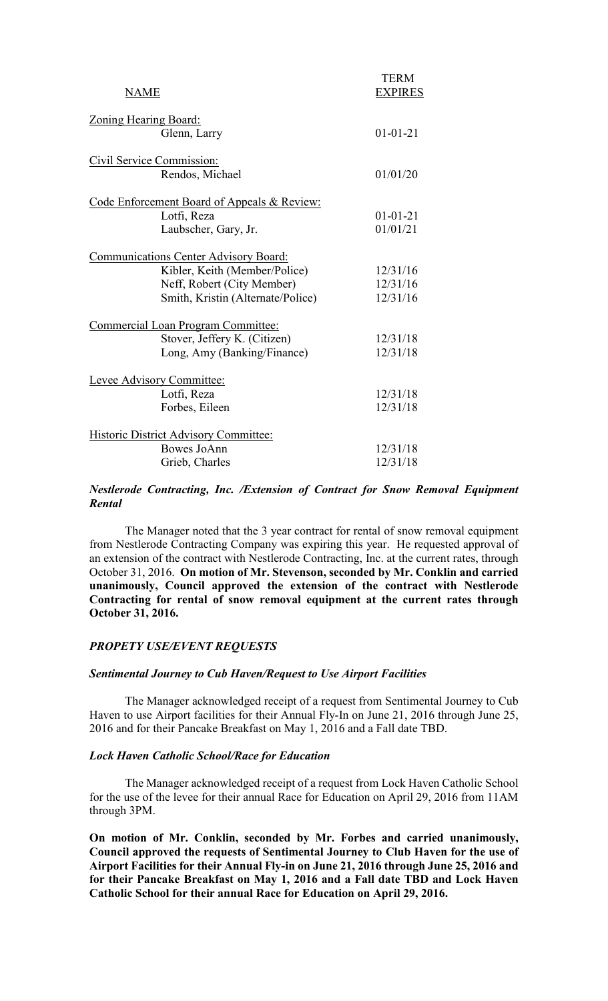| NAME                                         | <b>TERM</b><br><b>EXPIRES</b> |
|----------------------------------------------|-------------------------------|
| <b>Zoning Hearing Board:</b>                 |                               |
| Glenn, Larry                                 | $01 - 01 - 21$                |
| Civil Service Commission:                    |                               |
| Rendos, Michael                              | 01/01/20                      |
| Code Enforcement Board of Appeals & Review:  |                               |
| Lotfi, Reza                                  | $01 - 01 - 21$                |
| Laubscher, Gary, Jr.                         | 01/01/21                      |
| Communications Center Advisory Board:        |                               |
| Kibler, Keith (Member/Police)                | 12/31/16                      |
| Neff, Robert (City Member)                   | 12/31/16                      |
| Smith, Kristin (Alternate/Police)            | 12/31/16                      |
| Commercial Loan Program Committee:           |                               |
| Stover, Jeffery K. (Citizen)                 | 12/31/18                      |
| Long, Amy (Banking/Finance)                  | 12/31/18                      |
| Levee Advisory Committee:                    |                               |
| Lotfi, Reza                                  | 12/31/18                      |
| Forbes, Eileen                               | 12/31/18                      |
| <b>Historic District Advisory Committee:</b> |                               |
| Bowes JoAnn                                  | 12/31/18                      |
| Grieb, Charles                               | 12/31/18                      |

# *Nestlerode Contracting, Inc. /Extension of Contract for Snow Removal Equipment Rental*

The Manager noted that the 3 year contract for rental of snow removal equipment from Nestlerode Contracting Company was expiring this year. He requested approval of an extension of the contract with Nestlerode Contracting, Inc. at the current rates, through October 31, 2016. **On motion of Mr. Stevenson, seconded by Mr. Conklin and carried unanimously, Council approved the extension of the contract with Nestlerode Contracting for rental of snow removal equipment at the current rates through October 31, 2016.** 

# *PROPETY USE/EVENT REQUESTS*

#### *Sentimental Journey to Cub Haven/Request to Use Airport Facilities*

 The Manager acknowledged receipt of a request from Sentimental Journey to Cub Haven to use Airport facilities for their Annual Fly-In on June 21, 2016 through June 25, 2016 and for their Pancake Breakfast on May 1, 2016 and a Fall date TBD.

#### *Lock Haven Catholic School/Race for Education*

 The Manager acknowledged receipt of a request from Lock Haven Catholic School for the use of the levee for their annual Race for Education on April 29, 2016 from 11AM through 3PM.

**On motion of Mr. Conklin, seconded by Mr. Forbes and carried unanimously, Council approved the requests of Sentimental Journey to Club Haven for the use of Airport Facilities for their Annual Fly-in on June 21, 2016 through June 25, 2016 and for their Pancake Breakfast on May 1, 2016 and a Fall date TBD and Lock Haven Catholic School for their annual Race for Education on April 29, 2016.**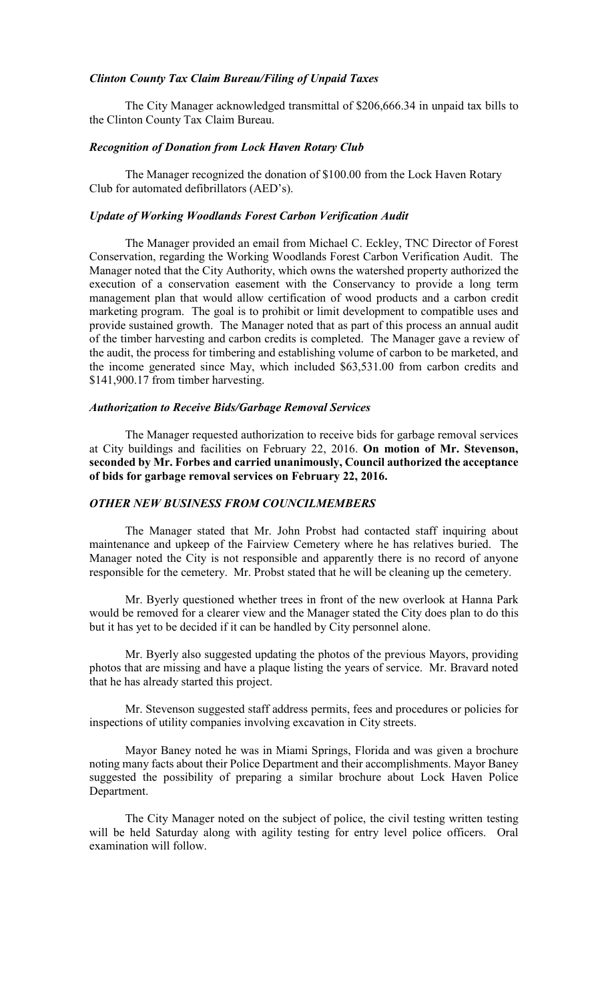#### *Clinton County Tax Claim Bureau/Filing of Unpaid Taxes*

The City Manager acknowledged transmittal of \$206,666.34 in unpaid tax bills to the Clinton County Tax Claim Bureau.

### *Recognition of Donation from Lock Haven Rotary Club*

The Manager recognized the donation of \$100.00 from the Lock Haven Rotary Club for automated defibrillators (AED's).

# *Update of Working Woodlands Forest Carbon Verification Audit*

 The Manager provided an email from Michael C. Eckley, TNC Director of Forest Conservation, regarding the Working Woodlands Forest Carbon Verification Audit. The Manager noted that the City Authority, which owns the watershed property authorized the execution of a conservation easement with the Conservancy to provide a long term management plan that would allow certification of wood products and a carbon credit marketing program. The goal is to prohibit or limit development to compatible uses and provide sustained growth. The Manager noted that as part of this process an annual audit of the timber harvesting and carbon credits is completed. The Manager gave a review of the audit, the process for timbering and establishing volume of carbon to be marketed, and the income generated since May, which included \$63,531.00 from carbon credits and \$141,900.17 from timber harvesting.

### *Authorization to Receive Bids/Garbage Removal Services*

The Manager requested authorization to receive bids for garbage removal services at City buildings and facilities on February 22, 2016. **On motion of Mr. Stevenson, seconded by Mr. Forbes and carried unanimously, Council authorized the acceptance of bids for garbage removal services on February 22, 2016.** 

### *OTHER NEW BUSINESS FROM COUNCILMEMBERS*

 The Manager stated that Mr. John Probst had contacted staff inquiring about maintenance and upkeep of the Fairview Cemetery where he has relatives buried. The Manager noted the City is not responsible and apparently there is no record of anyone responsible for the cemetery. Mr. Probst stated that he will be cleaning up the cemetery.

 Mr. Byerly questioned whether trees in front of the new overlook at Hanna Park would be removed for a clearer view and the Manager stated the City does plan to do this but it has yet to be decided if it can be handled by City personnel alone.

 Mr. Byerly also suggested updating the photos of the previous Mayors, providing photos that are missing and have a plaque listing the years of service. Mr. Bravard noted that he has already started this project.

 Mr. Stevenson suggested staff address permits, fees and procedures or policies for inspections of utility companies involving excavation in City streets.

 Mayor Baney noted he was in Miami Springs, Florida and was given a brochure noting many facts about their Police Department and their accomplishments. Mayor Baney suggested the possibility of preparing a similar brochure about Lock Haven Police Department.

 The City Manager noted on the subject of police, the civil testing written testing will be held Saturday along with agility testing for entry level police officers. Oral examination will follow.